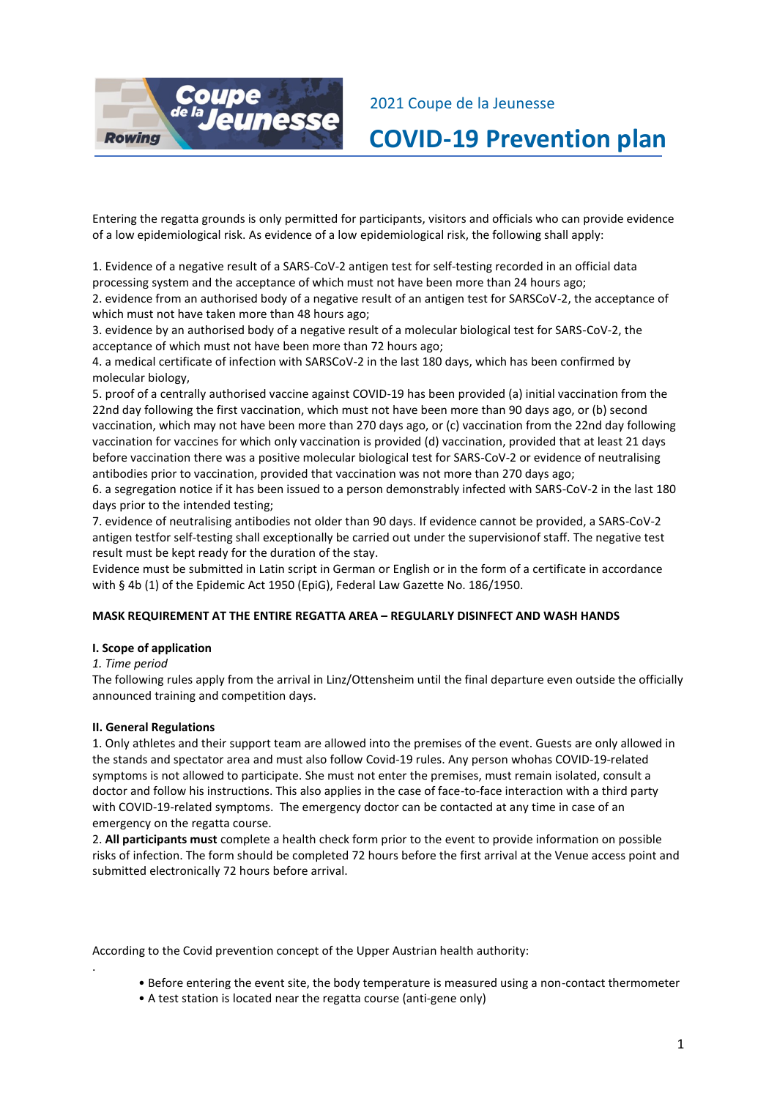

2021 Coupe de la Jeunesse

**COVID-19 Prevention plan**

Entering the regatta grounds is only permitted for participants, visitors and officials who can provide evidence of a low epidemiological risk. As evidence of a low epidemiological risk, the following shall apply:

1. Evidence of a negative result of a SARS-CoV-2 antigen test for self-testing recorded in an official data processing system and the acceptance of which must not have been more than 24 hours ago; 2. evidence from an authorised body of a negative result of an antigen test for SARSCoV-2, the acceptance of which must not have taken more than 48 hours ago;

3. evidence by an authorised body of a negative result of a molecular biological test for SARS-CoV-2, the acceptance of which must not have been more than 72 hours ago;

4. a medical certificate of infection with SARSCoV-2 in the last 180 days, which has been confirmed by molecular biology,

5. proof of a centrally authorised vaccine against COVID-19 has been provided (a) initial vaccination from the 22nd day following the first vaccination, which must not have been more than 90 days ago, or (b) second vaccination, which may not have been more than 270 days ago, or (c) vaccination from the 22nd day following vaccination for vaccines for which only vaccination is provided (d) vaccination, provided that at least 21 days before vaccination there was a positive molecular biological test for SARS-CoV-2 or evidence of neutralising antibodies prior to vaccination, provided that vaccination was not more than 270 days ago;

6. a segregation notice if it has been issued to a person demonstrably infected with SARS-CoV-2 in the last 180 days prior to the intended testing;

7. evidence of neutralising antibodies not older than 90 days. If evidence cannot be provided, a SARS-CoV-2 antigen testfor self-testing shall exceptionally be carried out under the supervisionof staff. The negative test result must be kept ready for the duration of the stay.

Evidence must be submitted in Latin script in German or English or in the form of a certificate in accordance with § 4b (1) of the Epidemic Act 1950 (EpiG), Federal Law Gazette No. 186/1950.

# **MASK REQUIREMENT AT THE ENTIRE REGATTA AREA – REGULARLY DISINFECT AND WASH HANDS**

## **I. Scope of application**

## *1. Time period*

.

The following rules apply from the arrival in Linz/Ottensheim until the final departure even outside the officially announced training and competition days.

## **II. General Regulations**

1. Only athletes and their support team are allowed into the premises of the event. Guests are only allowed in the stands and spectator area and must also follow Covid-19 rules. Any person whohas COVID-19-related symptoms is not allowed to participate. She must not enter the premises, must remain isolated, consult a doctor and follow his instructions. This also applies in the case of face-to-face interaction with a third party with COVID-19-related symptoms. The emergency doctor can be contacted at any time in case of an emergency on the regatta course.

2. **All participants must** complete a health check form prior to the event to provide information on possible risks of infection. The form should be completed 72 hours before the first arrival at the Venue access point and submitted electronically 72 hours before arrival.

According to the Covid prevention concept of the Upper Austrian health authority:

- Before entering the event site, the body temperature is measured using a non-contact thermometer
- A test station is located near the regatta course (anti-gene only)